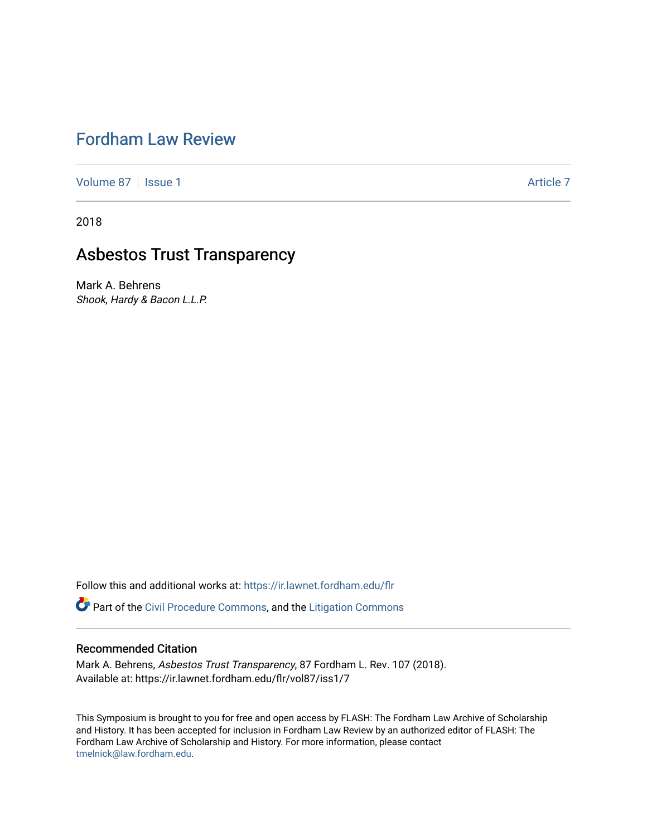# [Fordham Law Review](https://ir.lawnet.fordham.edu/flr)

[Volume 87](https://ir.lawnet.fordham.edu/flr/vol87) | [Issue 1](https://ir.lawnet.fordham.edu/flr/vol87/iss1) Article 7

2018

# Asbestos Trust Transparency

Mark A. Behrens Shook, Hardy & Bacon L.L.P.

Follow this and additional works at: [https://ir.lawnet.fordham.edu/flr](https://ir.lawnet.fordham.edu/flr?utm_source=ir.lawnet.fordham.edu%2Fflr%2Fvol87%2Fiss1%2F7&utm_medium=PDF&utm_campaign=PDFCoverPages)

Part of the [Civil Procedure Commons,](http://network.bepress.com/hgg/discipline/584?utm_source=ir.lawnet.fordham.edu%2Fflr%2Fvol87%2Fiss1%2F7&utm_medium=PDF&utm_campaign=PDFCoverPages) and the [Litigation Commons](http://network.bepress.com/hgg/discipline/910?utm_source=ir.lawnet.fordham.edu%2Fflr%2Fvol87%2Fiss1%2F7&utm_medium=PDF&utm_campaign=PDFCoverPages) 

## Recommended Citation

Mark A. Behrens, Asbestos Trust Transparency, 87 Fordham L. Rev. 107 (2018). Available at: https://ir.lawnet.fordham.edu/flr/vol87/iss1/7

This Symposium is brought to you for free and open access by FLASH: The Fordham Law Archive of Scholarship and History. It has been accepted for inclusion in Fordham Law Review by an authorized editor of FLASH: The Fordham Law Archive of Scholarship and History. For more information, please contact [tmelnick@law.fordham.edu](mailto:tmelnick@law.fordham.edu).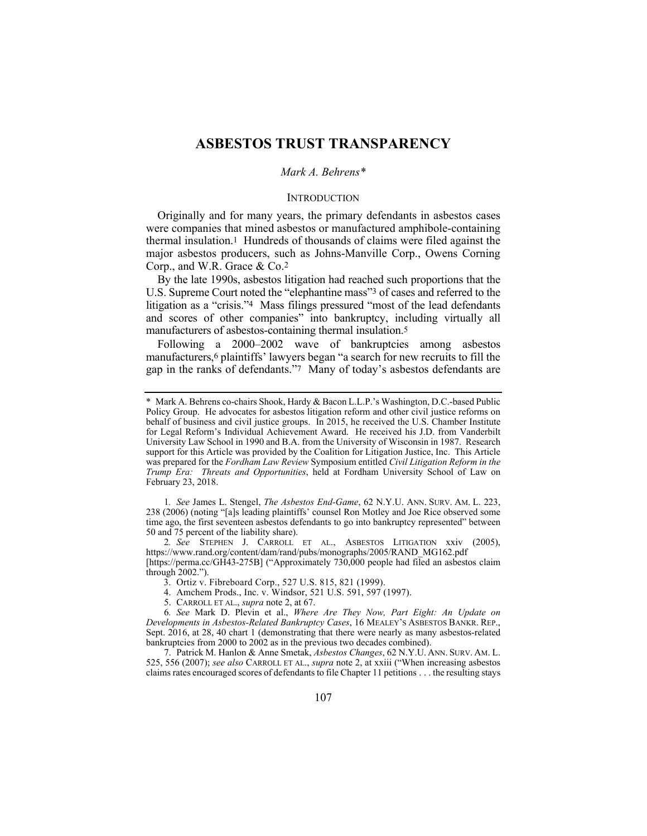# **ASBESTOS TRUST TRANSPARENCY**

#### *Mark A. Behrens\**

#### **INTRODUCTION**

Originally and for many years, the primary defendants in asbestos cases were companies that mined asbestos or manufactured amphibole-containing thermal insulation.1 Hundreds of thousands of claims were filed against the major asbestos producers, such as Johns-Manville Corp., Owens Corning Corp., and W.R. Grace & Co.2

By the late 1990s, asbestos litigation had reached such proportions that the U.S. Supreme Court noted the "elephantine mass"3 of cases and referred to the litigation as a "crisis."4 Mass filings pressured "most of the lead defendants and scores of other companies" into bankruptcy, including virtually all manufacturers of asbestos-containing thermal insulation.5

Following a 2000–2002 wave of bankruptcies among asbestos manufacturers,<sup>6</sup> plaintiffs' lawyers began "a search for new recruits to fill the gap in the ranks of defendants."7 Many of today's asbestos defendants are

1*. See* James L. Stengel, *The Asbestos End-Game*, 62 N.Y.U. ANN. SURV. AM. L. 223, 238 (2006) (noting "[a]s leading plaintiffs' counsel Ron Motley and Joe Rice observed some time ago, the first seventeen asbestos defendants to go into bankruptcy represented" between 50 and 75 percent of the liability share).

2*. See* STEPHEN J. CARROLL ET AL., ASBESTOS LITIGATION xxiv (2005), https://www.rand.org/content/dam/rand/pubs/monographs/2005/RAND\_MG162.pdf

[https://perma.cc/GH43-275B] ("Approximately 730,000 people had filed an asbestos claim through 2002.").

3. Ortiz v. Fibreboard Corp., 527 U.S. 815, 821 (1999).

4. Amchem Prods., Inc. v. Windsor, 521 U.S. 591, 597 (1997).

5. CARROLL ET AL., *supra* note 2, at 67.

6*. See* Mark D. Plevin et al., *Where Are They Now, Part Eight: An Update on Developments in Asbestos-Related Bankruptcy Cases*, 16 MEALEY'S ASBESTOS BANKR. REP., Sept. 2016, at 28, 40 chart 1 (demonstrating that there were nearly as many asbestos-related bankruptcies from 2000 to 2002 as in the previous two decades combined).

 7. Patrick M. Hanlon & Anne Smetak, *Asbestos Changes*, 62 N.Y.U. ANN. SURV. AM. L. 525, 556 (2007); *see also* CARROLL ET AL., *supra* note 2, at xxiii ("When increasing asbestos claims rates encouraged scores of defendants to file Chapter 11 petitions . . . the resulting stays

<sup>\*</sup> Mark A. Behrens co-chairs Shook, Hardy & Bacon L.L.P.'s Washington, D.C.-based Public Policy Group. He advocates for asbestos litigation reform and other civil justice reforms on behalf of business and civil justice groups. In 2015, he received the U.S. Chamber Institute for Legal Reform's Individual Achievement Award. He received his J.D. from Vanderbilt University Law School in 1990 and B.A. from the University of Wisconsin in 1987. Research support for this Article was provided by the Coalition for Litigation Justice, Inc. This Article was prepared for the *Fordham Law Review* Symposium entitled *Civil Litigation Reform in the Trump Era: Threats and Opportunities*, held at Fordham University School of Law on February 23, 2018.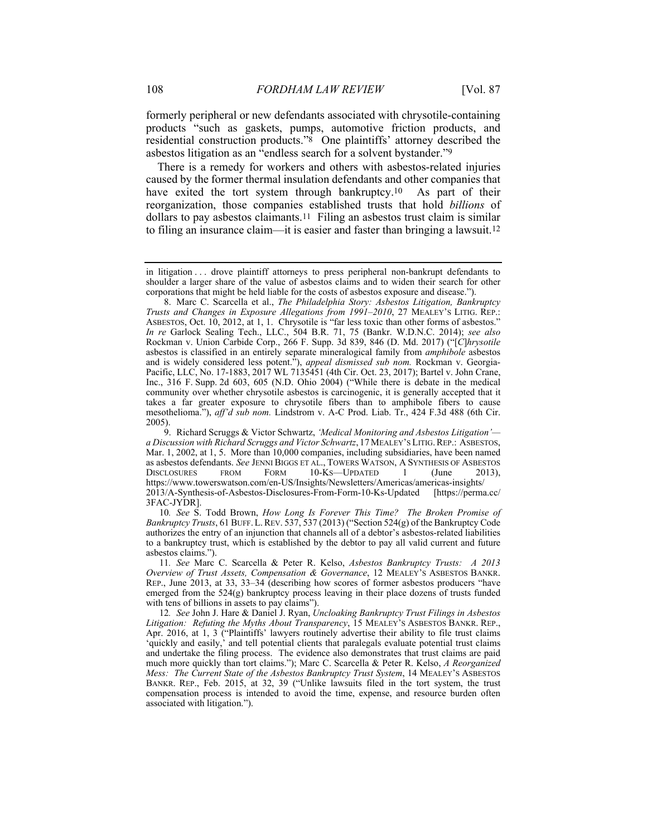formerly peripheral or new defendants associated with chrysotile-containing products "such as gaskets, pumps, automotive friction products, and residential construction products."8 One plaintiffs' attorney described the asbestos litigation as an "endless search for a solvent bystander."9

There is a remedy for workers and others with asbestos-related injuries caused by the former thermal insulation defendants and other companies that have exited the tort system through bankruptcy.<sup>10</sup> As part of their reorganization, those companies established trusts that hold *billions* of dollars to pay asbestos claimants.11 Filing an asbestos trust claim is similar to filing an insurance claim—it is easier and faster than bringing a lawsuit.12

10*. See* S. Todd Brown, *How Long Is Forever This Time? The Broken Promise of Bankruptcy Trusts*, 61 BUFF.L.REV. 537, 537 (2013) ("Section 524(g) of the Bankruptcy Code authorizes the entry of an injunction that channels all of a debtor's asbestos-related liabilities to a bankruptcy trust, which is established by the debtor to pay all valid current and future asbestos claims.").

11*. See* Marc C. Scarcella & Peter R. Kelso, *Asbestos Bankruptcy Trusts: A 2013 Overview of Trust Assets, Compensation & Governance*, 12 MEALEY'S ASBESTOS BANKR. REP., June 2013, at 33, 33–34 (describing how scores of former asbestos producers "have emerged from the 524(g) bankruptcy process leaving in their place dozens of trusts funded with tens of billions in assets to pay claims").

12*. See* John J. Hare & Daniel J. Ryan, *Uncloaking Bankruptcy Trust Filings in Asbestos Litigation: Refuting the Myths About Transparency*, 15 MEALEY'S ASBESTOS BANKR. REP., Apr. 2016, at 1, 3 ("Plaintiffs' lawyers routinely advertise their ability to file trust claims 'quickly and easily,' and tell potential clients that paralegals evaluate potential trust claims and undertake the filing process. The evidence also demonstrates that trust claims are paid much more quickly than tort claims."); Marc C. Scarcella & Peter R. Kelso, *A Reorganized Mess: The Current State of the Asbestos Bankruptcy Trust System*, 14 MEALEY'S ASBESTOS BANKR. REP., Feb. 2015, at 32, 39 ("Unlike lawsuits filed in the tort system, the trust compensation process is intended to avoid the time, expense, and resource burden often associated with litigation.").

in litigation . . . drove plaintiff attorneys to press peripheral non-bankrupt defendants to shoulder a larger share of the value of asbestos claims and to widen their search for other corporations that might be held liable for the costs of asbestos exposure and disease.").

 <sup>8.</sup> Marc C. Scarcella et al., *The Philadelphia Story: Asbestos Litigation, Bankruptcy Trusts and Changes in Exposure Allegations from 1991–2010*, 27 MEALEY'S LITIG. REP.: ASBESTOS, Oct. 10, 2012, at 1, 1. Chrysotile is "far less toxic than other forms of asbestos." *In re* Garlock Sealing Tech., LLC., 504 B.R. 71, 75 (Bankr. W.D.N.C. 2014); *see also* Rockman v. Union Carbide Corp., 266 F. Supp. 3d 839, 846 (D. Md. 2017) ("[*C*]*hrysotile*  asbestos is classified in an entirely separate mineralogical family from *amphibole* asbestos and is widely considered less potent."), *appeal dismissed sub nom.* Rockman v. Georgia-Pacific, LLC, No. 17-1883, 2017 WL 7135451 (4th Cir. Oct. 23, 2017); Bartel v. John Crane, Inc., 316 F. Supp. 2d 603, 605 (N.D. Ohio 2004) ("While there is debate in the medical community over whether chrysotile asbestos is carcinogenic, it is generally accepted that it takes a far greater exposure to chrysotile fibers than to amphibole fibers to cause mesothelioma."), *aff'd sub nom.* Lindstrom v. A-C Prod. Liab. Tr., 424 F.3d 488 (6th Cir. 2005).

 <sup>9.</sup> Richard Scruggs & Victor Schwartz, *'Medical Monitoring and Asbestos Litigation' a Discussion with Richard Scruggs and Victor Schwartz*, 17 MEALEY'S LITIG.REP.: ASBESTOS, Mar. 1, 2002, at 1, 5. More than 10,000 companies, including subsidiaries, have been named as asbestos defendants. *See* JENNI BIGGS ET AL., TOWERS WATSON, A SYNTHESIS OF ASBESTOS DISCLOSURES FROM FORM 10-KS—UPDATED 1 (June 2013), https://www.towerswatson.com/en-US/Insights/Newsletters/Americas/americas-insights/ 2013/A-Synthesis-of-Asbestos-Disclosures-From-Form-10-Ks-Updated [https://perma.cc/ 3FAC-JYDR].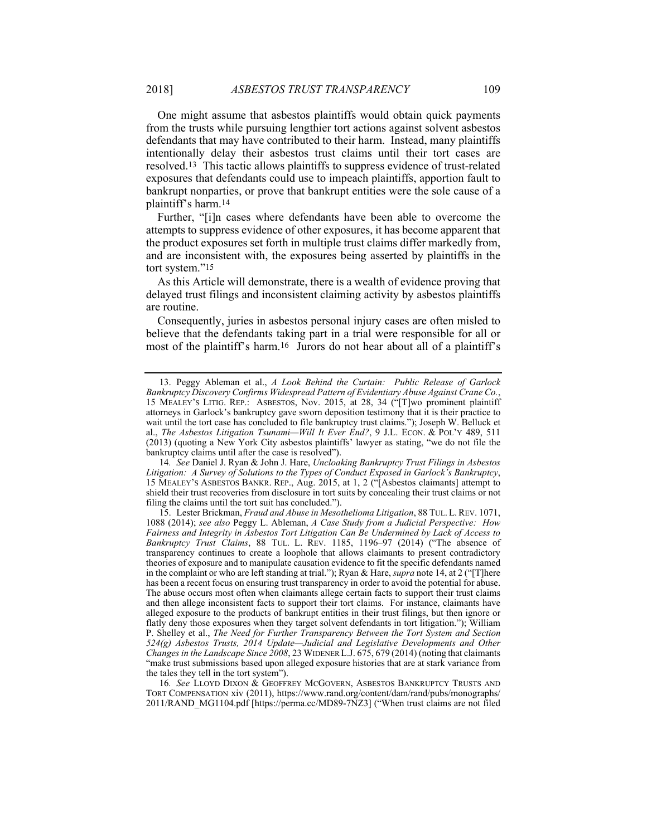One might assume that asbestos plaintiffs would obtain quick payments from the trusts while pursuing lengthier tort actions against solvent asbestos defendants that may have contributed to their harm. Instead, many plaintiffs intentionally delay their asbestos trust claims until their tort cases are resolved.13 This tactic allows plaintiffs to suppress evidence of trust-related exposures that defendants could use to impeach plaintiffs, apportion fault to bankrupt nonparties, or prove that bankrupt entities were the sole cause of a plaintiff's harm.14

Further, "[i]n cases where defendants have been able to overcome the attempts to suppress evidence of other exposures, it has become apparent that the product exposures set forth in multiple trust claims differ markedly from, and are inconsistent with, the exposures being asserted by plaintiffs in the tort system."15

As this Article will demonstrate, there is a wealth of evidence proving that delayed trust filings and inconsistent claiming activity by asbestos plaintiffs are routine.

Consequently, juries in asbestos personal injury cases are often misled to believe that the defendants taking part in a trial were responsible for all or most of the plaintiff's harm.16 Jurors do not hear about all of a plaintiff's

16*. See* LLOYD DIXON & GEOFFREY MCGOVERN, ASBESTOS BANKRUPTCY TRUSTS AND TORT COMPENSATION xiv (2011), https://www.rand.org/content/dam/rand/pubs/monographs/ 2011/RAND\_MG1104.pdf [https://perma.cc/MD89-7NZ3] ("When trust claims are not filed

 <sup>13.</sup> Peggy Ableman et al., *A Look Behind the Curtain: Public Release of Garlock Bankruptcy Discovery Confirms Widespread Pattern of Evidentiary Abuse Against Crane Co.*, 15 MEALEY'S LITIG. REP.: ASBESTOS, Nov. 2015, at 28, 34 ("[T]wo prominent plaintiff attorneys in Garlock's bankruptcy gave sworn deposition testimony that it is their practice to wait until the tort case has concluded to file bankruptcy trust claims."); Joseph W. Belluck et al., *The Asbestos Litigation Tsunami—Will It Ever End?*, 9 J.L. ECON. & POL'Y 489, 511 (2013) (quoting a New York City asbestos plaintiffs' lawyer as stating, "we do not file the bankruptcy claims until after the case is resolved").

<sup>14</sup>*. See* Daniel J. Ryan & John J. Hare, *Uncloaking Bankruptcy Trust Filings in Asbestos Litigation: A Survey of Solutions to the Types of Conduct Exposed in Garlock's Bankruptcy*, 15 MEALEY'S ASBESTOS BANKR. REP., Aug. 2015, at 1, 2 ("[Asbestos claimants] attempt to shield their trust recoveries from disclosure in tort suits by concealing their trust claims or not filing the claims until the tort suit has concluded.").

 <sup>15.</sup> Lester Brickman, *Fraud and Abuse in Mesothelioma Litigation*, 88 TUL. L.REV. 1071, 1088 (2014); *see also* Peggy L. Ableman, *A Case Study from a Judicial Perspective: How Fairness and Integrity in Asbestos Tort Litigation Can Be Undermined by Lack of Access to Bankruptcy Trust Claims*, 88 TUL. L. REV. 1185, 1196–97 (2014) ("The absence of transparency continues to create a loophole that allows claimants to present contradictory theories of exposure and to manipulate causation evidence to fit the specific defendants named in the complaint or who are left standing at trial."); Ryan & Hare, *supra* note 14, at 2 ("[T]here has been a recent focus on ensuring trust transparency in order to avoid the potential for abuse. The abuse occurs most often when claimants allege certain facts to support their trust claims and then allege inconsistent facts to support their tort claims. For instance, claimants have alleged exposure to the products of bankrupt entities in their trust filings, but then ignore or flatly deny those exposures when they target solvent defendants in tort litigation."); William P. Shelley et al., *The Need for Further Transparency Between the Tort System and Section 524(g) Asbestos Trusts, 2014 Update—Judicial and Legislative Developments and Other Changes in the Landscape Since 2008*, 23 WIDENER L.J. 675, 679 (2014) (noting that claimants "make trust submissions based upon alleged exposure histories that are at stark variance from the tales they tell in the tort system").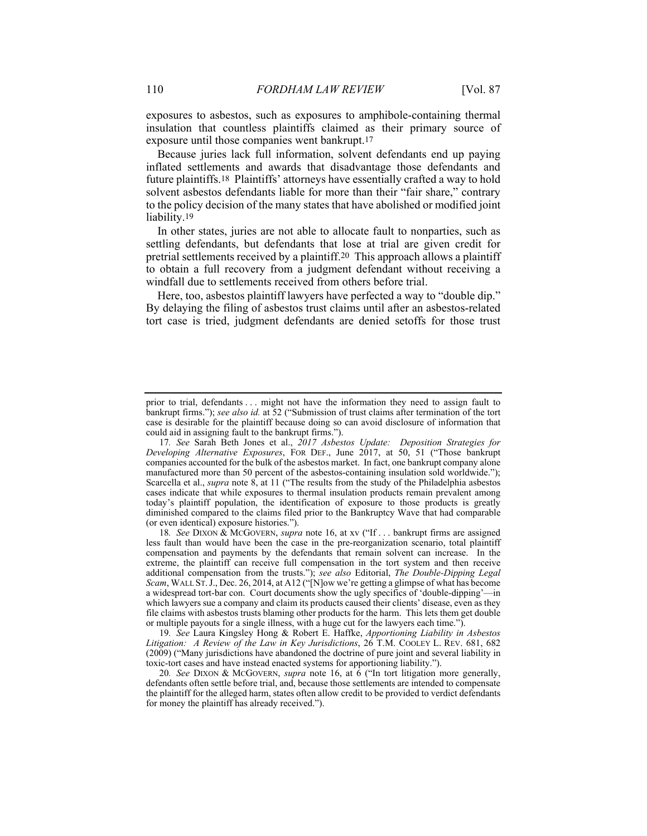exposures to asbestos, such as exposures to amphibole-containing thermal insulation that countless plaintiffs claimed as their primary source of exposure until those companies went bankrupt.17

Because juries lack full information, solvent defendants end up paying inflated settlements and awards that disadvantage those defendants and future plaintiffs.18 Plaintiffs' attorneys have essentially crafted a way to hold solvent asbestos defendants liable for more than their "fair share," contrary to the policy decision of the many states that have abolished or modified joint liability.<sup>19</sup>

In other states, juries are not able to allocate fault to nonparties, such as settling defendants, but defendants that lose at trial are given credit for pretrial settlements received by a plaintiff.20 This approach allows a plaintiff to obtain a full recovery from a judgment defendant without receiving a windfall due to settlements received from others before trial.

Here, too, asbestos plaintiff lawyers have perfected a way to "double dip." By delaying the filing of asbestos trust claims until after an asbestos-related tort case is tried, judgment defendants are denied setoffs for those trust

19*. See* Laura Kingsley Hong & Robert E. Haffke, *Apportioning Liability in Asbestos Litigation: A Review of the Law in Key Jurisdictions*, 26 T.M. COOLEY L. REV. 681, 682 (2009) ("Many jurisdictions have abandoned the doctrine of pure joint and several liability in toxic-tort cases and have instead enacted systems for apportioning liability.").

20*. See* DIXON & MCGOVERN, *supra* note 16, at 6 ("In tort litigation more generally, defendants often settle before trial, and, because those settlements are intended to compensate the plaintiff for the alleged harm, states often allow credit to be provided to verdict defendants for money the plaintiff has already received.").

prior to trial, defendants . . . might not have the information they need to assign fault to bankrupt firms."); *see also id.* at 52 ("Submission of trust claims after termination of the tort case is desirable for the plaintiff because doing so can avoid disclosure of information that could aid in assigning fault to the bankrupt firms.").

<sup>17</sup>*. See* Sarah Beth Jones et al., *2017 Asbestos Update: Deposition Strategies for Developing Alternative Exposures*, FOR DEF., June 2017, at 50, 51 ("Those bankrupt companies accounted for the bulk of the asbestos market. In fact, one bankrupt company alone manufactured more than 50 percent of the asbestos-containing insulation sold worldwide."); Scarcella et al., *supra* note 8, at 11 ("The results from the study of the Philadelphia asbestos cases indicate that while exposures to thermal insulation products remain prevalent among today's plaintiff population, the identification of exposure to those products is greatly diminished compared to the claims filed prior to the Bankruptcy Wave that had comparable (or even identical) exposure histories.").

<sup>18</sup>*. See* DIXON & MCGOVERN, *supra* note 16, at xv ("If . . . bankrupt firms are assigned less fault than would have been the case in the pre-reorganization scenario, total plaintiff compensation and payments by the defendants that remain solvent can increase. In the extreme, the plaintiff can receive full compensation in the tort system and then receive additional compensation from the trusts."); *see also* Editorial, *The Double-Dipping Legal Scam*, WALL ST.J., Dec. 26, 2014, at A12 ("[N]ow we're getting a glimpse of what has become a widespread tort-bar con. Court documents show the ugly specifics of 'double-dipping'—in which lawyers sue a company and claim its products caused their clients' disease, even as they file claims with asbestos trusts blaming other products for the harm. This lets them get double or multiple payouts for a single illness, with a huge cut for the lawyers each time.").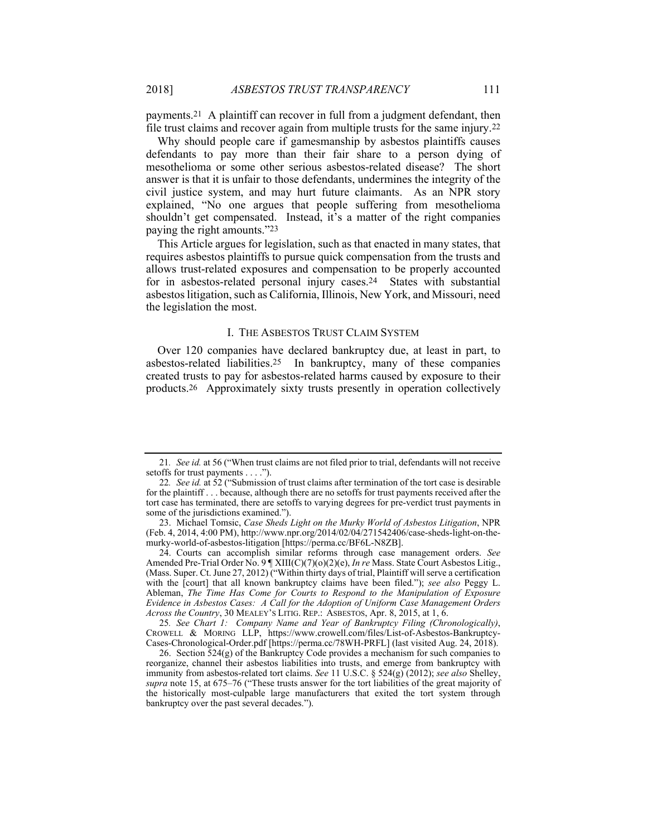payments.21 A plaintiff can recover in full from a judgment defendant, then file trust claims and recover again from multiple trusts for the same injury.22

Why should people care if gamesmanship by asbestos plaintiffs causes defendants to pay more than their fair share to a person dying of mesothelioma or some other serious asbestos-related disease? The short answer is that it is unfair to those defendants, undermines the integrity of the civil justice system, and may hurt future claimants. As an NPR story explained, "No one argues that people suffering from mesothelioma shouldn't get compensated. Instead, it's a matter of the right companies paying the right amounts."23

This Article argues for legislation, such as that enacted in many states, that requires asbestos plaintiffs to pursue quick compensation from the trusts and allows trust-related exposures and compensation to be properly accounted for in asbestos-related personal injury cases.24 States with substantial asbestos litigation, such as California, Illinois, New York, and Missouri, need the legislation the most.

#### I. THE ASBESTOS TRUST CLAIM SYSTEM

Over 120 companies have declared bankruptcy due, at least in part, to asbestos-related liabilities.25 In bankruptcy, many of these companies created trusts to pay for asbestos-related harms caused by exposure to their products.26 Approximately sixty trusts presently in operation collectively

 24. Courts can accomplish similar reforms through case management orders. *See* Amended Pre-Trial Order No. 9 | XIII(C)(7)(o)(2)(e), *In re* Mass. State Court Asbestos Litig., (Mass. Super. Ct. June 27, 2012) ("Within thirty days of trial, Plaintiff will serve a certification with the [court] that all known bankruptcy claims have been filed."); *see also* Peggy L. Ableman, *The Time Has Come for Courts to Respond to the Manipulation of Exposure Evidence in Asbestos Cases: A Call for the Adoption of Uniform Case Management Orders Across the Country*, 30 MEALEY'S LITIG. REP.: ASBESTOS, Apr. 8, 2015, at 1, 6.

25*. See Chart 1: Company Name and Year of Bankruptcy Filing (Chronologically)*, CROWELL & MORING LLP, https://www.crowell.com/files/List-of-Asbestos-Bankruptcy-Cases-Chronological-Order.pdf [https://perma.cc/78WH-PRFL] (last visited Aug. 24, 2018).

 26. Section 524(g) of the Bankruptcy Code provides a mechanism for such companies to reorganize, channel their asbestos liabilities into trusts, and emerge from bankruptcy with immunity from asbestos-related tort claims. *See* 11 U.S.C. § 524(g) (2012); *see also* Shelley, *supra* note 15, at 675–76 ("These trusts answer for the tort liabilities of the great majority of the historically most-culpable large manufacturers that exited the tort system through bankruptcy over the past several decades.").

<sup>21</sup>*. See id.* at 56 ("When trust claims are not filed prior to trial, defendants will not receive setoffs for trust payments . . . .").

<sup>22</sup>*. See id.* at 52 ("Submission of trust claims after termination of the tort case is desirable for the plaintiff . . . because, although there are no setoffs for trust payments received after the tort case has terminated, there are setoffs to varying degrees for pre-verdict trust payments in some of the jurisdictions examined.").

 <sup>23.</sup> Michael Tomsic, *Case Sheds Light on the Murky World of Asbestos Litigation*, NPR (Feb. 4, 2014, 4:00 PM), http://www.npr.org/2014/02/04/271542406/case-sheds-light-on-themurky-world-of-asbestos-litigation [https://perma.cc/BF6L-N8ZB].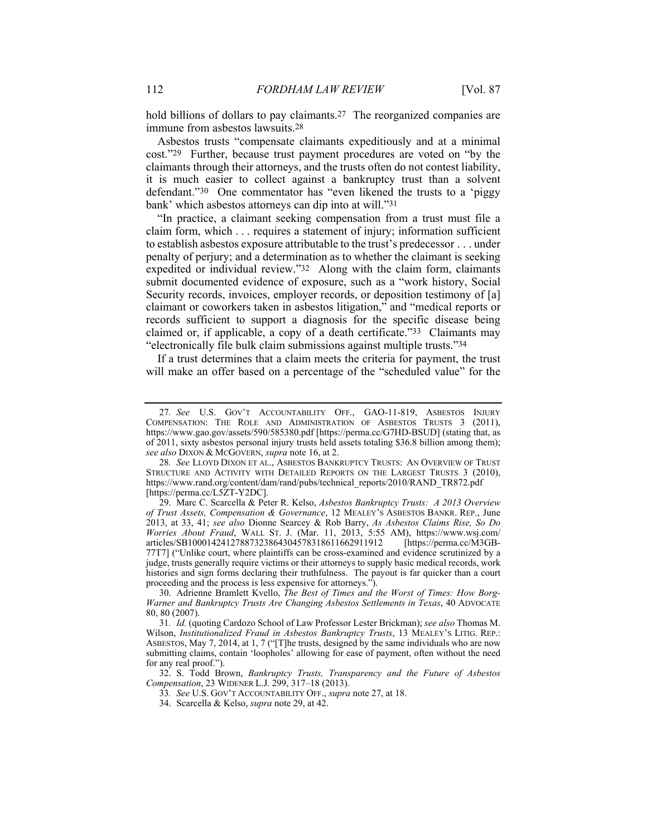hold billions of dollars to pay claimants.<sup>27</sup> The reorganized companies are immune from asbestos lawsuits.28

Asbestos trusts "compensate claimants expeditiously and at a minimal cost."29 Further, because trust payment procedures are voted on "by the claimants through their attorneys, and the trusts often do not contest liability, it is much easier to collect against a bankruptcy trust than a solvent defendant."30 One commentator has "even likened the trusts to a 'piggy bank' which asbestos attorneys can dip into at will."31

"In practice, a claimant seeking compensation from a trust must file a claim form, which . . . requires a statement of injury; information sufficient to establish asbestos exposure attributable to the trust's predecessor . . . under penalty of perjury; and a determination as to whether the claimant is seeking expedited or individual review."32 Along with the claim form, claimants submit documented evidence of exposure, such as a "work history, Social Security records, invoices, employer records, or deposition testimony of [a] claimant or coworkers taken in asbestos litigation," and "medical reports or records sufficient to support a diagnosis for the specific disease being claimed or, if applicable, a copy of a death certificate."33 Claimants may "electronically file bulk claim submissions against multiple trusts."34

If a trust determines that a claim meets the criteria for payment, the trust will make an offer based on a percentage of the "scheduled value" for the

<sup>27</sup>*. See* U.S. GOV'T ACCOUNTABILITY OFF., GAO-11-819, ASBESTOS INJURY COMPENSATION: THE ROLE AND ADMINISTRATION OF ASBESTOS TRUSTS 3 (2011), https://www.gao.gov/assets/590/585380.pdf [https://perma.cc/G7HD-BSUD] (stating that, as of 2011, sixty asbestos personal injury trusts held assets totaling \$36.8 billion among them); *see also* DIXON & MCGOVERN, *supra* note 16, at 2.

<sup>28</sup>*. See* LLOYD DIXON ET AL., ASBESTOS BANKRUPTCY TRUSTS: AN OVERVIEW OF TRUST STRUCTURE AND ACTIVITY WITH DETAILED REPORTS ON THE LARGEST TRUSTS 3 (2010), https://www.rand.org/content/dam/rand/pubs/technical\_reports/2010/RAND\_TR872.pdf [https://perma.cc/L5ZT-Y2DC].

 <sup>29.</sup> Marc C. Scarcella & Peter R. Kelso, *Asbestos Bankruptcy Trusts: A 2013 Overview of Trust Assets, Compensation & Governance*, 12 MEALEY'S ASBESTOS BANKR. REP., June 2013, at 33, 41; *see also* Dionne Searcey & Rob Barry, *As Asbestos Claims Rise, So Do Worries About Fraud*, WALL ST. J. (Mar. 11, 2013, 5:55 AM), https://www.wsj.com/ articles/SB10001424127887323864304578318611662911912 [https://perma.cc/M3GB-77T7] ("Unlike court, where plaintiffs can be cross-examined and evidence scrutinized by a judge, trusts generally require victims or their attorneys to supply basic medical records, work histories and sign forms declaring their truthfulness. The payout is far quicker than a court proceeding and the process is less expensive for attorneys.").

 <sup>30.</sup> Adrienne Bramlett Kvello, *The Best of Times and the Worst of Times: How Borg-Warner and Bankruptcy Trusts Are Changing Asbestos Settlements in Texas*, 40 ADVOCATE 80, 80 (2007).

<sup>31</sup>*. Id.* (quoting Cardozo School of Law Professor Lester Brickman); *see also* Thomas M. Wilson, *Institutionalized Fraud in Asbestos Bankruptcy Trusts*, 13 MEALEY'S LITIG. REP.: ASBESTOS, May 7, 2014, at 1, 7 ("[T]he trusts, designed by the same individuals who are now submitting claims, contain 'loopholes' allowing for ease of payment, often without the need for any real proof.").

 <sup>32.</sup> S. Todd Brown, *Bankruptcy Trusts, Transparency and the Future of Asbestos Compensation*, 23 WIDENER L.J. 299, 317–18 (2013).

<sup>33</sup>*. See* U.S. GOV'T ACCOUNTABILITY OFF., *supra* note 27, at 18.

 <sup>34.</sup> Scarcella & Kelso, *supra* note 29, at 42.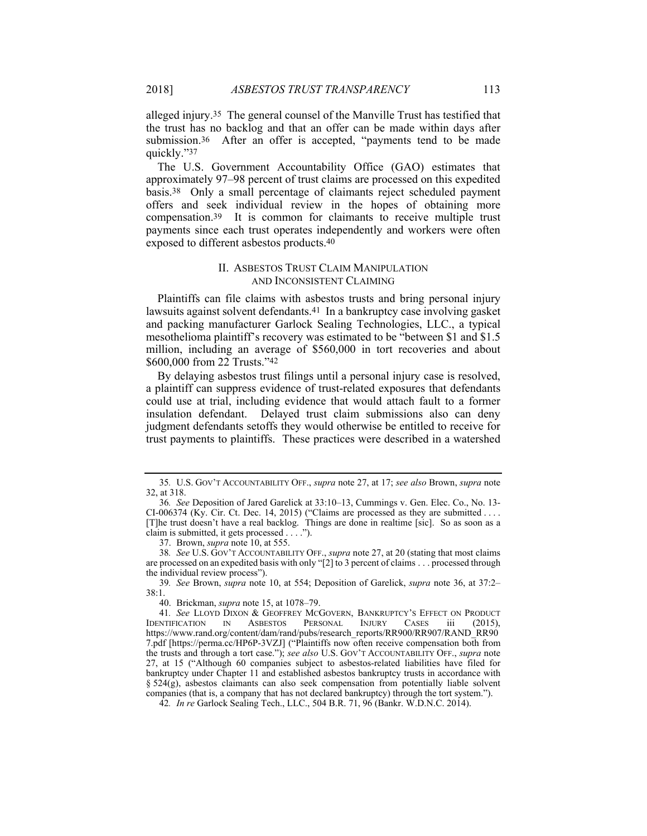alleged injury.35 The general counsel of the Manville Trust has testified that the trust has no backlog and that an offer can be made within days after submission.<sup>36</sup> After an offer is accepted, "payments tend to be made quickly."37

The U.S. Government Accountability Office (GAO) estimates that approximately 97–98 percent of trust claims are processed on this expedited basis.38 Only a small percentage of claimants reject scheduled payment offers and seek individual review in the hopes of obtaining more compensation.39 It is common for claimants to receive multiple trust payments since each trust operates independently and workers were often exposed to different asbestos products.40

## II. ASBESTOS TRUST CLAIM MANIPULATION AND INCONSISTENT CLAIMING

Plaintiffs can file claims with asbestos trusts and bring personal injury lawsuits against solvent defendants.41 In a bankruptcy case involving gasket and packing manufacturer Garlock Sealing Technologies, LLC., a typical mesothelioma plaintiff's recovery was estimated to be "between \$1 and \$1.5 million, including an average of \$560,000 in tort recoveries and about \$600,000 from 22 Trusts."42

By delaying asbestos trust filings until a personal injury case is resolved, a plaintiff can suppress evidence of trust-related exposures that defendants could use at trial, including evidence that would attach fault to a former insulation defendant. Delayed trust claim submissions also can deny judgment defendants setoffs they would otherwise be entitled to receive for trust payments to plaintiffs. These practices were described in a watershed

37. Brown, *supra* note 10, at 555.

40. Brickman, *supra* note 15, at 1078–79.

<sup>35</sup>*.* U.S. GOV'T ACCOUNTABILITY OFF., *supra* note 27, at 17; *see also* Brown, *supra* note 32, at 318.

<sup>36</sup>*. See* Deposition of Jared Garelick at 33:10–13, Cummings v. Gen. Elec. Co., No. 13- CI-006374 (Ky. Cir. Ct. Dec. 14, 2015) ("Claims are processed as they are submitted . . . . [T]he trust doesn't have a real backlog. Things are done in realtime [sic]. So as soon as a claim is submitted, it gets processed . . . .").

<sup>38</sup>*. See* U.S. GOV'T ACCOUNTABILITY OFF., *supra* note 27, at 20 (stating that most claims are processed on an expedited basis with only "[2] to 3 percent of claims . . . processed through the individual review process").

<sup>39</sup>*. See* Brown, *supra* note 10, at 554; Deposition of Garelick, *supra* note 36, at 37:2– 38:1.

<sup>41</sup>*. See* LLOYD DIXON & GEOFFREY MCGOVERN, BANKRUPTCY'S EFFECT ON PRODUCT IDENTIFICATION IN ASBESTOS PERSONAL INJURY CASES iii (2015), https://www.rand.org/content/dam/rand/pubs/research\_reports/RR900/RR907/RAND\_RR90 7.pdf [https://perma.cc/HP6P-3VZJ] ("Plaintiffs now often receive compensation both from the trusts and through a tort case."); *see also* U.S. GOV'T ACCOUNTABILITY OFF., *supra* note 27, at 15 ("Although 60 companies subject to asbestos-related liabilities have filed for bankruptcy under Chapter 11 and established asbestos bankruptcy trusts in accordance with § 524(g), asbestos claimants can also seek compensation from potentially liable solvent companies (that is, a company that has not declared bankruptcy) through the tort system.").

<sup>42</sup>*. In re* Garlock Sealing Tech., LLC., 504 B.R. 71, 96 (Bankr. W.D.N.C. 2014).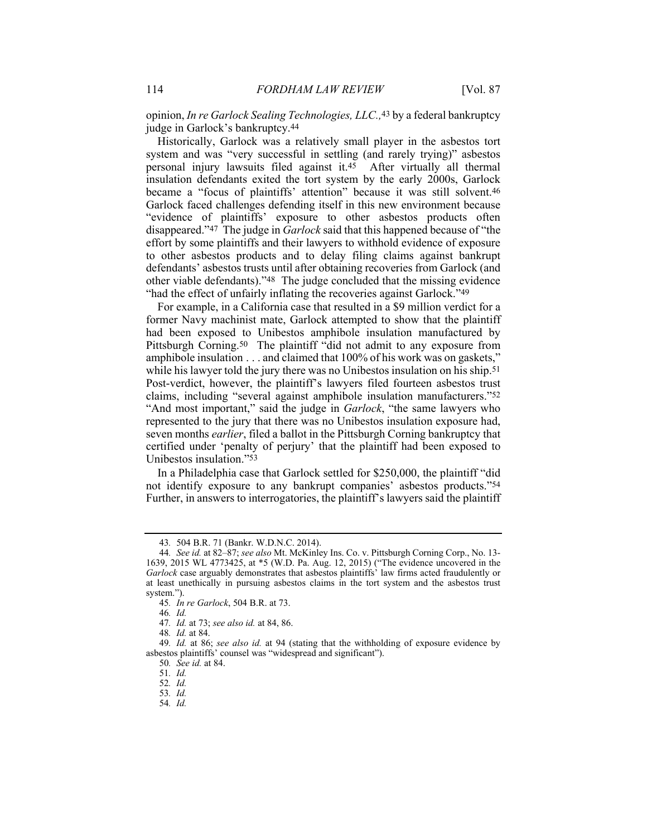opinion, *In re Garlock Sealing Technologies, LLC.,*43 by a federal bankruptcy judge in Garlock's bankruptcy.44

Historically, Garlock was a relatively small player in the asbestos tort system and was "very successful in settling (and rarely trying)" asbestos personal injury lawsuits filed against it.45 After virtually all thermal insulation defendants exited the tort system by the early 2000s, Garlock became a "focus of plaintiffs' attention" because it was still solvent.46 Garlock faced challenges defending itself in this new environment because "evidence of plaintiffs' exposure to other asbestos products often disappeared."47 The judge in *Garlock* said that this happened because of "the effort by some plaintiffs and their lawyers to withhold evidence of exposure to other asbestos products and to delay filing claims against bankrupt defendants' asbestos trusts until after obtaining recoveries from Garlock (and other viable defendants)."48 The judge concluded that the missing evidence "had the effect of unfairly inflating the recoveries against Garlock."49

For example, in a California case that resulted in a \$9 million verdict for a former Navy machinist mate, Garlock attempted to show that the plaintiff had been exposed to Unibestos amphibole insulation manufactured by Pittsburgh Corning.<sup>50</sup> The plaintiff "did not admit to any exposure from amphibole insulation . . . and claimed that 100% of his work was on gaskets," while his lawyer told the jury there was no Unibestos insulation on his ship.<sup>51</sup> Post-verdict, however, the plaintiff's lawyers filed fourteen asbestos trust claims, including "several against amphibole insulation manufacturers."52 "And most important," said the judge in *Garlock*, "the same lawyers who represented to the jury that there was no Unibestos insulation exposure had, seven months *earlier*, filed a ballot in the Pittsburgh Corning bankruptcy that certified under 'penalty of perjury' that the plaintiff had been exposed to Unibestos insulation."53

In a Philadelphia case that Garlock settled for \$250,000, the plaintiff "did not identify exposure to any bankrupt companies' asbestos products."54 Further, in answers to interrogatories, the plaintiff's lawyers said the plaintiff

46*. Id.*

<sup>43</sup>*.* 504 B.R. 71 (Bankr. W.D.N.C. 2014).

<sup>44</sup>*. See id.* at 82–87; *see also* Mt. McKinley Ins. Co. v. Pittsburgh Corning Corp., No. 13- 1639, 2015 WL 4773425, at \*5 (W.D. Pa. Aug. 12, 2015) ("The evidence uncovered in the *Garlock* case arguably demonstrates that asbestos plaintiffs' law firms acted fraudulently or at least unethically in pursuing asbestos claims in the tort system and the asbestos trust system.").

<sup>45</sup>*. In re Garlock*, 504 B.R. at 73.

<sup>47</sup>*. Id.* at 73; *see also id.* at 84, 86.

<sup>48</sup>*. Id.* at 84.

<sup>49</sup>*. Id.* at 86; *see also id.* at 94 (stating that the withholding of exposure evidence by asbestos plaintiffs' counsel was "widespread and significant").

<sup>50</sup>*. See id.* at 84.

<sup>51</sup>*. Id.*

<sup>52</sup>*. Id.*

<sup>53</sup>*. Id.*

<sup>54</sup>*. Id.*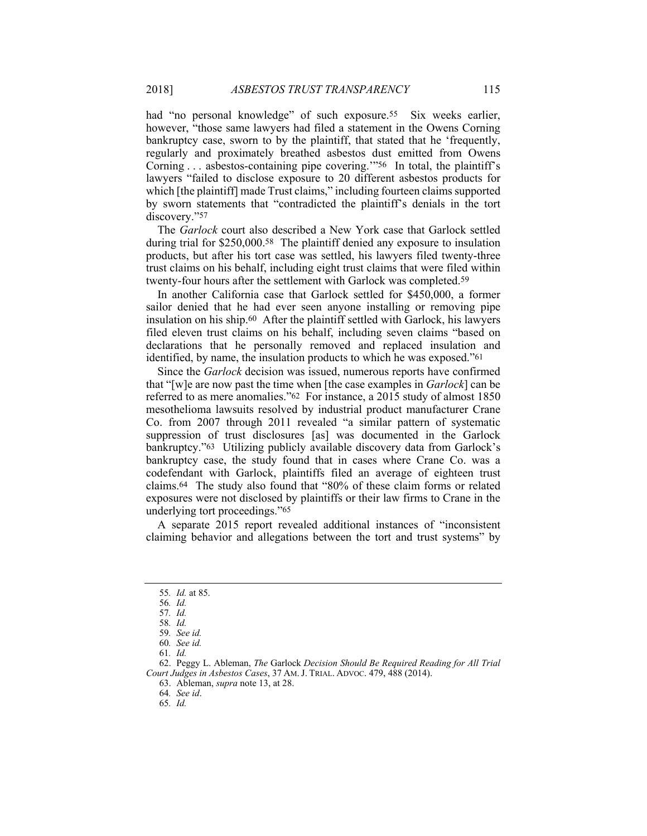had "no personal knowledge" of such exposure.<sup>55</sup> Six weeks earlier, however, "those same lawyers had filed a statement in the Owens Corning bankruptcy case, sworn to by the plaintiff, that stated that he 'frequently, regularly and proximately breathed asbestos dust emitted from Owens Corning . . . asbestos-containing pipe covering."<sup>56</sup> In total, the plaintiff's lawyers "failed to disclose exposure to 20 different asbestos products for which [the plaintiff] made Trust claims," including fourteen claims supported by sworn statements that "contradicted the plaintiff's denials in the tort discovery."57

The *Garlock* court also described a New York case that Garlock settled during trial for \$250,000.58 The plaintiff denied any exposure to insulation products, but after his tort case was settled, his lawyers filed twenty-three trust claims on his behalf, including eight trust claims that were filed within twenty-four hours after the settlement with Garlock was completed.59

In another California case that Garlock settled for \$450,000, a former sailor denied that he had ever seen anyone installing or removing pipe insulation on his ship.60 After the plaintiff settled with Garlock, his lawyers filed eleven trust claims on his behalf, including seven claims "based on declarations that he personally removed and replaced insulation and identified, by name, the insulation products to which he was exposed."61

Since the *Garlock* decision was issued, numerous reports have confirmed that "[w]e are now past the time when [the case examples in *Garlock*] can be referred to as mere anomalies."62 For instance, a 2015 study of almost 1850 mesothelioma lawsuits resolved by industrial product manufacturer Crane Co. from 2007 through 2011 revealed "a similar pattern of systematic suppression of trust disclosures [as] was documented in the Garlock bankruptcy."63 Utilizing publicly available discovery data from Garlock's bankruptcy case, the study found that in cases where Crane Co. was a codefendant with Garlock, plaintiffs filed an average of eighteen trust claims.64 The study also found that "80% of these claim forms or related exposures were not disclosed by plaintiffs or their law firms to Crane in the underlying tort proceedings."65

A separate 2015 report revealed additional instances of "inconsistent claiming behavior and allegations between the tort and trust systems" by

<sup>55</sup>*. Id.* at 85.

<sup>56</sup>*. Id.*

<sup>57</sup>*. Id.*

<sup>58</sup>*. Id.*

<sup>59</sup>*. See id.*

<sup>60</sup>*. See id.*

<sup>61</sup>*. Id.*

 <sup>62.</sup> Peggy L. Ableman, *The* Garlock *Decision Should Be Required Reading for All Trial Court Judges in Asbestos Cases*, 37 AM. J. TRIAL. ADVOC. 479, 488 (2014).

 <sup>63.</sup> Ableman, *supra* note 13, at 28.

<sup>64</sup>*. See id*.

<sup>65</sup>*. Id.*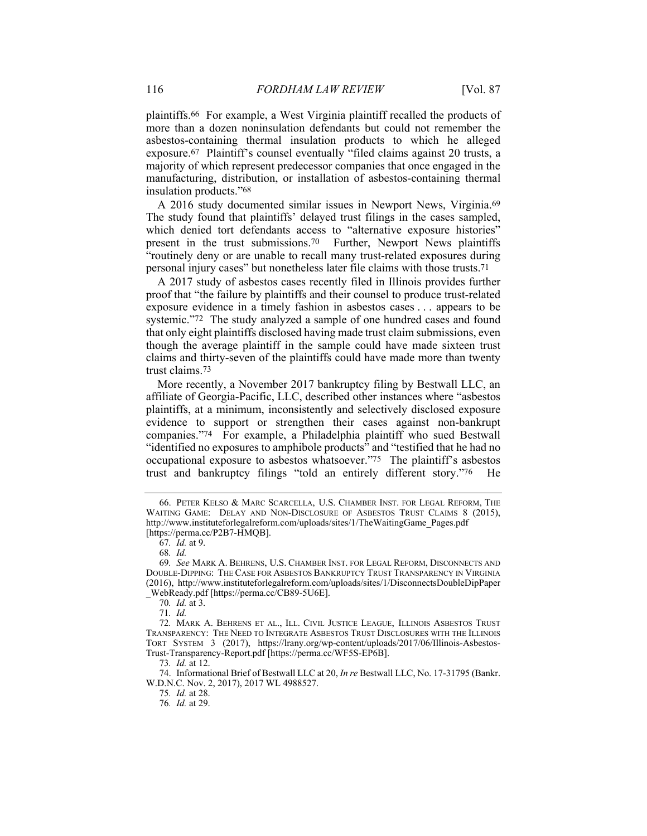plaintiffs.66 For example, a West Virginia plaintiff recalled the products of more than a dozen noninsulation defendants but could not remember the asbestos-containing thermal insulation products to which he alleged exposure.67 Plaintiff's counsel eventually "filed claims against 20 trusts, a majority of which represent predecessor companies that once engaged in the manufacturing, distribution, or installation of asbestos-containing thermal insulation products."68

A 2016 study documented similar issues in Newport News, Virginia.69 The study found that plaintiffs' delayed trust filings in the cases sampled, which denied tort defendants access to "alternative exposure histories" present in the trust submissions.70 Further, Newport News plaintiffs "routinely deny or are unable to recall many trust-related exposures during personal injury cases" but nonetheless later file claims with those trusts.71

A 2017 study of asbestos cases recently filed in Illinois provides further proof that "the failure by plaintiffs and their counsel to produce trust-related exposure evidence in a timely fashion in asbestos cases . . . appears to be systemic."72 The study analyzed a sample of one hundred cases and found that only eight plaintiffs disclosed having made trust claim submissions, even though the average plaintiff in the sample could have made sixteen trust claims and thirty-seven of the plaintiffs could have made more than twenty trust claims.73

More recently, a November 2017 bankruptcy filing by Bestwall LLC, an affiliate of Georgia-Pacific, LLC, described other instances where "asbestos plaintiffs, at a minimum, inconsistently and selectively disclosed exposure evidence to support or strengthen their cases against non-bankrupt companies."74 For example, a Philadelphia plaintiff who sued Bestwall "identified no exposures to amphibole products" and "testified that he had no occupational exposure to asbestos whatsoever."75 The plaintiff's asbestos trust and bankruptcy filings "told an entirely different story."76 He

70*. Id.* at 3.

71*. Id.*

73*. Id.* at 12.

 74. Informational Brief of Bestwall LLC at 20, *In re* Bestwall LLC, No. 17-31795 (Bankr. W.D.N.C. Nov. 2, 2017), 2017 WL 4988527.

75*. Id.* at 28. 76*. Id.* at 29.

 <sup>66.</sup> PETER KELSO & MARC SCARCELLA, U.S. CHAMBER INST. FOR LEGAL REFORM, THE WAITING GAME: DELAY AND NON-DISCLOSURE OF ASBESTOS TRUST CLAIMS 8 (2015), http://www.instituteforlegalreform.com/uploads/sites/1/TheWaitingGame\_Pages.pdf [https://perma.cc/P2B7-HMQB].

<sup>67</sup>*. Id.* at 9.

<sup>68</sup>*. Id.*

<sup>69</sup>*. See* MARK A. BEHRENS, U.S. CHAMBER INST. FOR LEGAL REFORM, DISCONNECTS AND DOUBLE-DIPPING: THE CASE FOR ASBESTOS BANKRUPTCY TRUST TRANSPARENCY IN VIRGINIA (2016), http://www.instituteforlegalreform.com/uploads/sites/1/DisconnectsDoubleDipPaper \_WebReady.pdf [https://perma.cc/CB89-5U6E].

<sup>72</sup>*.* MARK A. BEHRENS ET AL., ILL. CIVIL JUSTICE LEAGUE, ILLINOIS ASBESTOS TRUST TRANSPARENCY: THE NEED TO INTEGRATE ASBESTOS TRUST DISCLOSURES WITH THE ILLINOIS TORT SYSTEM 3 (2017), https://lrany.org/wp-content/uploads/2017/06/Illinois-Asbestos-Trust-Transparency-Report.pdf [https://perma.cc/WF5S-EP6B].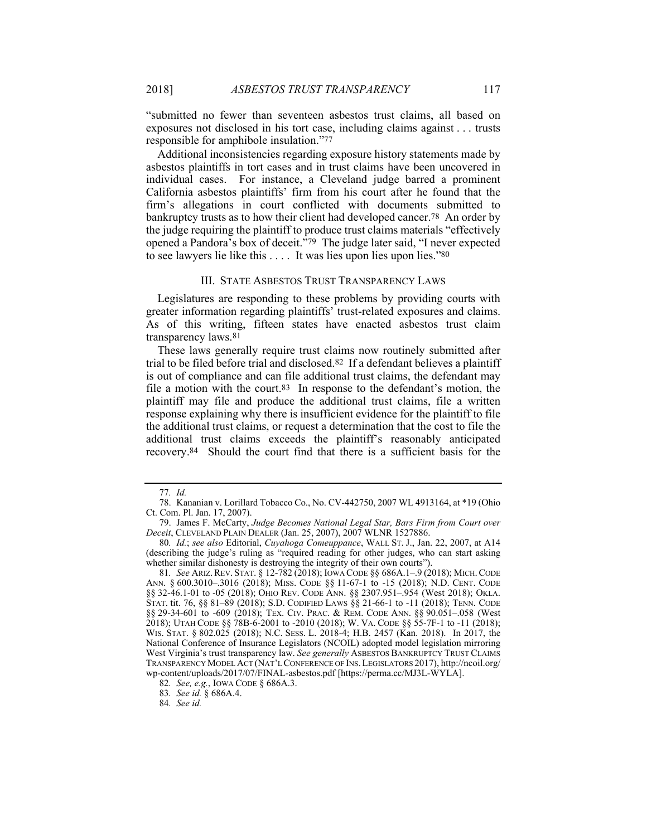"submitted no fewer than seventeen asbestos trust claims, all based on exposures not disclosed in his tort case, including claims against . . . trusts responsible for amphibole insulation."77

Additional inconsistencies regarding exposure history statements made by asbestos plaintiffs in tort cases and in trust claims have been uncovered in individual cases. For instance, a Cleveland judge barred a prominent California asbestos plaintiffs' firm from his court after he found that the firm's allegations in court conflicted with documents submitted to bankruptcy trusts as to how their client had developed cancer.78 An order by the judge requiring the plaintiff to produce trust claims materials "effectively opened a Pandora's box of deceit."79 The judge later said, "I never expected to see lawyers lie like this . . . . It was lies upon lies upon lies."80

#### III. STATE ASBESTOS TRUST TRANSPARENCY LAWS

Legislatures are responding to these problems by providing courts with greater information regarding plaintiffs' trust-related exposures and claims. As of this writing, fifteen states have enacted asbestos trust claim transparency laws.81

These laws generally require trust claims now routinely submitted after trial to be filed before trial and disclosed.82 If a defendant believes a plaintiff is out of compliance and can file additional trust claims, the defendant may file a motion with the court.83 In response to the defendant's motion, the plaintiff may file and produce the additional trust claims, file a written response explaining why there is insufficient evidence for the plaintiff to file the additional trust claims, or request a determination that the cost to file the additional trust claims exceeds the plaintiff's reasonably anticipated recovery.84 Should the court find that there is a sufficient basis for the

84*. See id.*

<sup>77</sup>*. Id.*

 <sup>78.</sup> Kananian v. Lorillard Tobacco Co., No. CV-442750, 2007 WL 4913164, at \*19 (Ohio Ct. Com. Pl. Jan. 17, 2007).

 <sup>79.</sup> James F. McCarty, *Judge Becomes National Legal Star, Bars Firm from Court over Deceit*, CLEVELAND PLAIN DEALER (Jan. 25, 2007), 2007 WLNR 1527886.

<sup>80</sup>*. Id.*; *see also* Editorial, *Cuyahoga Comeuppance*, WALL ST. J., Jan. 22, 2007, at A14 (describing the judge's ruling as "required reading for other judges, who can start asking whether similar dishonesty is destroying the integrity of their own courts").

<sup>81</sup>*. See* ARIZ.REV. STAT. § 12-782 (2018); IOWA CODE §§ 686A.1–.9 (2018); MICH.CODE ANN. § 600.3010–.3016 (2018); MISS. CODE §§ 11-67-1 to -15 (2018); N.D. CENT. CODE §§ 32-46.1-01 to -05 (2018); OHIO REV. CODE ANN. §§ 2307.951–.954 (West 2018); OKLA. STAT. tit. 76, §§ 81–89 (2018); S.D. CODIFIED LAWS §§ 21-66-1 to -11 (2018); TENN. CODE §§ 29-34-601 to -609 (2018); TEX. CIV. PRAC. & REM. CODE ANN. §§ 90.051–.058 (West 2018); UTAH CODE §§ 78B-6-2001 to -2010 (2018); W. VA. CODE §§ 55-7F-1 to -11 (2018); WIS. STAT. § 802.025 (2018); N.C. SESS. L. 2018-4; H.B. 2457 (Kan. 2018). In 2017, the National Conference of Insurance Legislators (NCOIL) adopted model legislation mirroring West Virginia's trust transparency law. *See generally* ASBESTOS BANKRUPTCY TRUST CLAIMS TRANSPARENCY MODEL ACT (NAT'L CONFERENCE OF INS.LEGISLATORS 2017), http://ncoil.org/ wp-content/uploads/2017/07/FINAL-asbestos.pdf [https://perma.cc/MJ3L-WYLA].

<sup>82</sup>*. See, e.g.*, IOWA CODE § 686A.3.

<sup>83</sup>*. See id.* § 686A.4.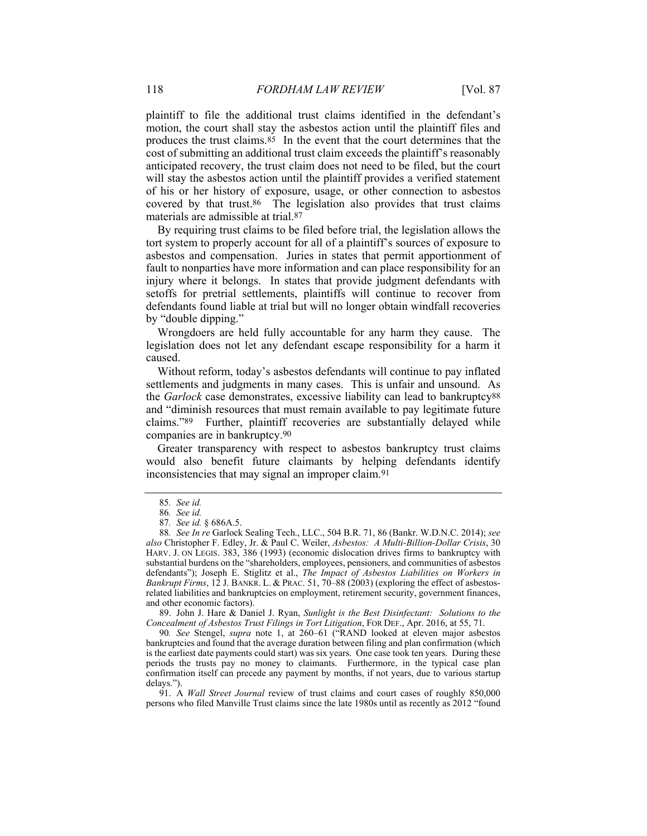plaintiff to file the additional trust claims identified in the defendant's motion, the court shall stay the asbestos action until the plaintiff files and produces the trust claims.85 In the event that the court determines that the cost of submitting an additional trust claim exceeds the plaintiff's reasonably anticipated recovery, the trust claim does not need to be filed, but the court will stay the asbestos action until the plaintiff provides a verified statement of his or her history of exposure, usage, or other connection to asbestos covered by that trust.86 The legislation also provides that trust claims materials are admissible at trial.87

By requiring trust claims to be filed before trial, the legislation allows the tort system to properly account for all of a plaintiff's sources of exposure to asbestos and compensation. Juries in states that permit apportionment of fault to nonparties have more information and can place responsibility for an injury where it belongs. In states that provide judgment defendants with setoffs for pretrial settlements, plaintiffs will continue to recover from defendants found liable at trial but will no longer obtain windfall recoveries by "double dipping."

Wrongdoers are held fully accountable for any harm they cause. The legislation does not let any defendant escape responsibility for a harm it caused.

Without reform, today's asbestos defendants will continue to pay inflated settlements and judgments in many cases. This is unfair and unsound. As the *Garlock* case demonstrates, excessive liability can lead to bankruptcy88 and "diminish resources that must remain available to pay legitimate future claims."89 Further, plaintiff recoveries are substantially delayed while companies are in bankruptcy.90

Greater transparency with respect to asbestos bankruptcy trust claims would also benefit future claimants by helping defendants identify inconsistencies that may signal an improper claim.91

 89. John J. Hare & Daniel J. Ryan, *Sunlight is the Best Disinfectant: Solutions to the Concealment of Asbestos Trust Filings in Tort Litigation*, FOR DEF., Apr. 2016, at 55, 71.

90*. See* Stengel, *supra* note 1, at 260–61 ("RAND looked at eleven major asbestos bankruptcies and found that the average duration between filing and plan confirmation (which is the earliest date payments could start) was six years. One case took ten years. During these periods the trusts pay no money to claimants. Furthermore, in the typical case plan confirmation itself can precede any payment by months, if not years, due to various startup delays.").

 91. A *Wall Street Journal* review of trust claims and court cases of roughly 850,000 persons who filed Manville Trust claims since the late 1980s until as recently as 2012 "found

<sup>85</sup>*. See id.*

<sup>86</sup>*. See id.*

<sup>87</sup>*. See id.* § 686A.5.

<sup>88</sup>*. See In re* Garlock Sealing Tech., LLC., 504 B.R. 71, 86 (Bankr. W.D.N.C. 2014); *see also* Christopher F. Edley, Jr. & Paul C. Weiler, *Asbestos: A Multi-Billion-Dollar Crisis*, 30 HARV. J. ON LEGIS. 383, 386 (1993) (economic dislocation drives firms to bankruptcy with substantial burdens on the "shareholders, employees, pensioners, and communities of asbestos defendants"); Joseph E. Stiglitz et al., *The Impact of Asbestos Liabilities on Workers in Bankrupt Firms*, 12 J. BANKR. L. & PRAC. 51, 70–88 (2003) (exploring the effect of asbestosrelated liabilities and bankruptcies on employment, retirement security, government finances, and other economic factors).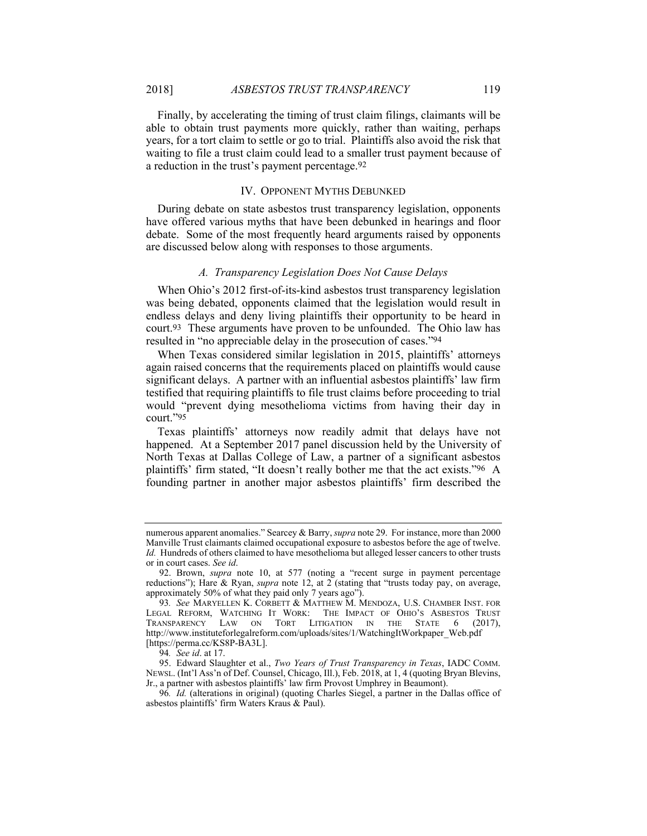Finally, by accelerating the timing of trust claim filings, claimants will be able to obtain trust payments more quickly, rather than waiting, perhaps years, for a tort claim to settle or go to trial. Plaintiffs also avoid the risk that waiting to file a trust claim could lead to a smaller trust payment because of a reduction in the trust's payment percentage.92

#### IV. OPPONENT MYTHS DEBUNKED

During debate on state asbestos trust transparency legislation, opponents have offered various myths that have been debunked in hearings and floor debate. Some of the most frequently heard arguments raised by opponents are discussed below along with responses to those arguments.

### *A. Transparency Legislation Does Not Cause Delays*

When Ohio's 2012 first-of-its-kind asbestos trust transparency legislation was being debated, opponents claimed that the legislation would result in endless delays and deny living plaintiffs their opportunity to be heard in court.93 These arguments have proven to be unfounded. The Ohio law has resulted in "no appreciable delay in the prosecution of cases."94

When Texas considered similar legislation in 2015, plaintiffs' attorneys again raised concerns that the requirements placed on plaintiffs would cause significant delays. A partner with an influential asbestos plaintiffs' law firm testified that requiring plaintiffs to file trust claims before proceeding to trial would "prevent dying mesothelioma victims from having their day in court."95

Texas plaintiffs' attorneys now readily admit that delays have not happened. At a September 2017 panel discussion held by the University of North Texas at Dallas College of Law, a partner of a significant asbestos plaintiffs' firm stated, "It doesn't really bother me that the act exists."96 A founding partner in another major asbestos plaintiffs' firm described the

numerous apparent anomalies." Searcey & Barry, *supra* note 29. For instance, more than 2000 Manville Trust claimants claimed occupational exposure to asbestos before the age of twelve. *Id.* Hundreds of others claimed to have mesothelioma but alleged lesser cancers to other trusts or in court cases. *See id*.

 <sup>92.</sup> Brown, *supra* note 10, at 577 (noting a "recent surge in payment percentage reductions"); Hare & Ryan, *supra* note 12, at 2 (stating that "trusts today pay, on average, approximately 50% of what they paid only 7 years ago").

<sup>93</sup>*. See* MARYELLEN K. CORBETT & MATTHEW M. MENDOZA, U.S. CHAMBER INST. FOR LEGAL REFORM, WATCHING IT WORK: THE IMPACT OF OHIO'S ASBESTOS TRUST TRANSPARENCY LAW ON TORT LITIGATION IN THE STATE 6 (2017), http://www.instituteforlegalreform.com/uploads/sites/1/WatchingItWorkpaper\_Web.pdf [https://perma.cc/KS8P-BA3L].

<sup>94</sup>*. See id*. at 17.

 <sup>95.</sup> Edward Slaughter et al., *Two Years of Trust Transparency in Texas*, IADC COMM. NEWSL. (Int'l Ass'n of Def. Counsel, Chicago, Ill.), Feb. 2018, at 1, 4 (quoting Bryan Blevins, Jr., a partner with asbestos plaintiffs' law firm Provost Umphrey in Beaumont).

<sup>96</sup>*. Id.* (alterations in original) (quoting Charles Siegel, a partner in the Dallas office of asbestos plaintiffs' firm Waters Kraus & Paul).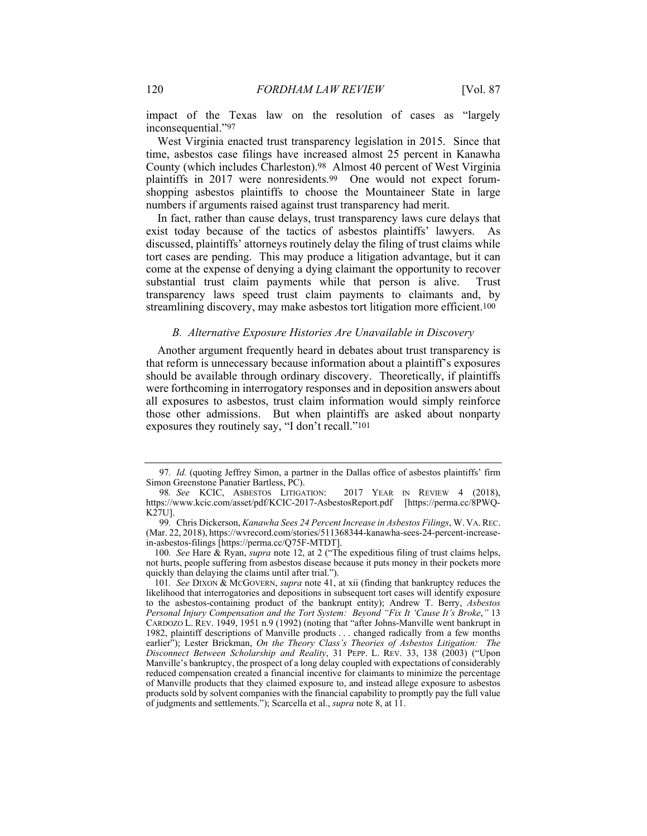impact of the Texas law on the resolution of cases as "largely inconsequential."97

West Virginia enacted trust transparency legislation in 2015. Since that time, asbestos case filings have increased almost 25 percent in Kanawha County (which includes Charleston).98 Almost 40 percent of West Virginia plaintiffs in 2017 were nonresidents.99 One would not expect forumshopping asbestos plaintiffs to choose the Mountaineer State in large numbers if arguments raised against trust transparency had merit.

In fact, rather than cause delays, trust transparency laws cure delays that exist today because of the tactics of asbestos plaintiffs' lawyers. As discussed, plaintiffs' attorneys routinely delay the filing of trust claims while tort cases are pending. This may produce a litigation advantage, but it can come at the expense of denying a dying claimant the opportunity to recover substantial trust claim payments while that person is alive. Trust transparency laws speed trust claim payments to claimants and, by streamlining discovery, may make asbestos tort litigation more efficient.<sup>100</sup>

### *B. Alternative Exposure Histories Are Unavailable in Discovery*

Another argument frequently heard in debates about trust transparency is that reform is unnecessary because information about a plaintiff's exposures should be available through ordinary discovery. Theoretically, if plaintiffs were forthcoming in interrogatory responses and in deposition answers about all exposures to asbestos, trust claim information would simply reinforce those other admissions. But when plaintiffs are asked about nonparty exposures they routinely say, "I don't recall."101

<sup>97</sup>*. Id.* (quoting Jeffrey Simon, a partner in the Dallas office of asbestos plaintiffs' firm Simon Greenstone Panatier Bartless, PC).

<sup>98</sup>*. See* KCIC, ASBESTOS LITIGATION: 2017 YEAR IN REVIEW 4 (2018), https://www.kcic.com/asset/pdf/KCIC-2017-AsbestosReport.pdf [https://perma.cc/8PWQ-K27U].

<sup>99</sup>*.* Chris Dickerson, *Kanawha Sees 24 Percent Increase in Asbestos Filings*, W. VA.REC. (Mar. 22, 2018), https://wvrecord.com/stories/511368344-kanawha-sees-24-percent-increasein-asbestos-filings [https://perma.cc/Q75F-MTDT].

<sup>100</sup>*. See* Hare & Ryan, *supra* note 12, at 2 ("The expeditious filing of trust claims helps, not hurts, people suffering from asbestos disease because it puts money in their pockets more quickly than delaying the claims until after trial.").

<sup>101</sup>*. See* DIXON & MCGOVERN, *supra* note 41, at xii (finding that bankruptcy reduces the likelihood that interrogatories and depositions in subsequent tort cases will identify exposure to the asbestos-containing product of the bankrupt entity); Andrew T. Berry, *Asbestos Personal Injury Compensation and the Tort System: Beyond "Fix It 'Cause It's Broke*,*"* 13 CARDOZO L. REV. 1949, 1951 n.9 (1992) (noting that "after Johns-Manville went bankrupt in 1982, plaintiff descriptions of Manville products . . . changed radically from a few months earlier"); Lester Brickman, *On the Theory Class's Theories of Asbestos Litigation: The Disconnect Between Scholarship and Reality*, 31 PEPP. L. REV. 33, 138 (2003) ("Upon Manville's bankruptcy, the prospect of a long delay coupled with expectations of considerably reduced compensation created a financial incentive for claimants to minimize the percentage of Manville products that they claimed exposure to, and instead allege exposure to asbestos products sold by solvent companies with the financial capability to promptly pay the full value of judgments and settlements."); Scarcella et al., *supra* note 8, at 11.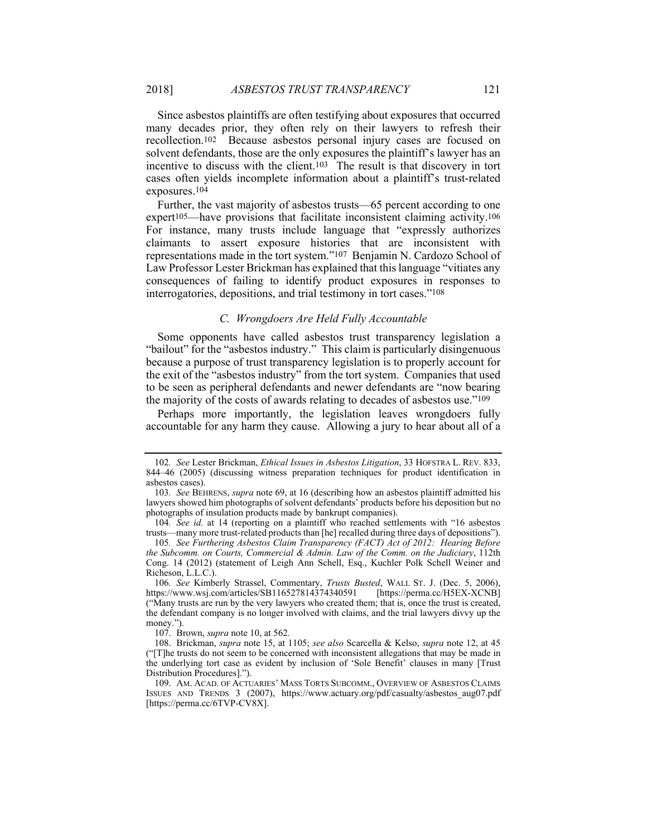Since asbestos plaintiffs are often testifying about exposures that occurred many decades prior, they often rely on their lawyers to refresh their recollection.102 Because asbestos personal injury cases are focused on solvent defendants, those are the only exposures the plaintiff's lawyer has an incentive to discuss with the client.103 The result is that discovery in tort cases often yields incomplete information about a plaintiff's trust-related exposures.104

Further, the vast majority of asbestos trusts—65 percent according to one expert105—have provisions that facilitate inconsistent claiming activity.106 For instance, many trusts include language that "expressly authorizes claimants to assert exposure histories that are inconsistent with representations made in the tort system."107 Benjamin N. Cardozo School of Law Professor Lester Brickman has explained that this language "vitiates any consequences of failing to identify product exposures in responses to interrogatories, depositions, and trial testimony in tort cases."108

### *C. Wrongdoers Are Held Fully Accountable*

Some opponents have called asbestos trust transparency legislation a "bailout" for the "asbestos industry." This claim is particularly disingenuous because a purpose of trust transparency legislation is to properly account for the exit of the "asbestos industry" from the tort system. Companies that used to be seen as peripheral defendants and newer defendants are "now bearing the majority of the costs of awards relating to decades of asbestos use."109

Perhaps more importantly, the legislation leaves wrongdoers fully accountable for any harm they cause. Allowing a jury to hear about all of a

<sup>102</sup>*. See* Lester Brickman, *Ethical Issues in Asbestos Litigation*, 33 HOFSTRA L. REV. 833, 844–46 (2005) (discussing witness preparation techniques for product identification in asbestos cases).

<sup>103</sup>*. See* BEHRENS, *supra* note 69, at 16 (describing how an asbestos plaintiff admitted his lawyers showed him photographs of solvent defendants' products before his deposition but no photographs of insulation products made by bankrupt companies).

<sup>104</sup>*. See id.* at 14 (reporting on a plaintiff who reached settlements with "16 asbestos trusts—many more trust-related products than [he] recalled during three days of depositions").

<sup>105</sup>*. See Furthering Asbestos Claim Transparency (FACT) Act of 2012: Hearing Before the Subcomm. on Courts, Commercial & Admin. Law of the Comm. on the Judiciary*, 112th Cong. 14 (2012) (statement of Leigh Ann Schell, Esq., Kuchler Polk Schell Weiner and Richeson, L.L.C.).

<sup>106</sup>*. See* Kimberly Strassel, Commentary, *Trusts Busted*, WALL ST. J. (Dec. 5, 2006), https://www.wsj.com/articles/SB116527814374340591 [https://perma.cc/H5EX-XCNB] ("Many trusts are run by the very lawyers who created them; that is, once the trust is created, the defendant company is no longer involved with claims, and the trial lawyers divvy up the money.").

 <sup>107.</sup> Brown, *supra* note 10, at 562.

 <sup>108.</sup> Brickman, *supra* note 15, at 1105; *see also* Scarcella & Kelso, *supra* note 12, at 45 ("[T]he trusts do not seem to be concerned with inconsistent allegations that may be made in the underlying tort case as evident by inclusion of 'Sole Benefit' clauses in many [Trust Distribution Procedures].").

 <sup>109.</sup> AM. ACAD. OF ACTUARIES' MASS TORTS SUBCOMM., OVERVIEW OF ASBESTOS CLAIMS ISSUES AND TRENDS 3 (2007), https://www.actuary.org/pdf/casualty/asbestos\_aug07.pdf [https://perma.cc/6TVP-CV8X].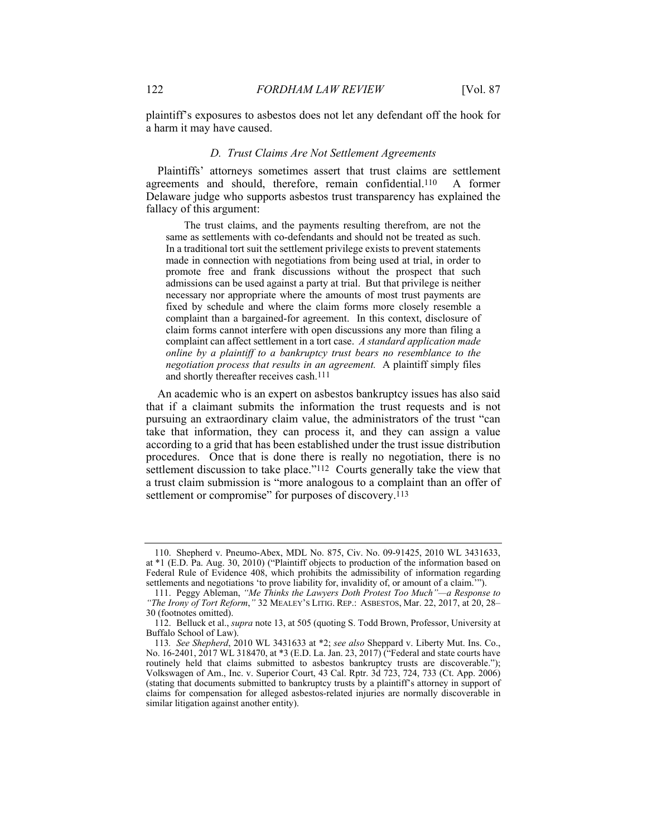plaintiff's exposures to asbestos does not let any defendant off the hook for a harm it may have caused.

#### *D. Trust Claims Are Not Settlement Agreements*

Plaintiffs' attorneys sometimes assert that trust claims are settlement agreements and should, therefore, remain confidential.110 A former Delaware judge who supports asbestos trust transparency has explained the fallacy of this argument:

The trust claims, and the payments resulting therefrom, are not the same as settlements with co-defendants and should not be treated as such. In a traditional tort suit the settlement privilege exists to prevent statements made in connection with negotiations from being used at trial, in order to promote free and frank discussions without the prospect that such admissions can be used against a party at trial. But that privilege is neither necessary nor appropriate where the amounts of most trust payments are fixed by schedule and where the claim forms more closely resemble a complaint than a bargained-for agreement. In this context, disclosure of claim forms cannot interfere with open discussions any more than filing a complaint can affect settlement in a tort case. *A standard application made online by a plaintiff to a bankruptcy trust bears no resemblance to the negotiation process that results in an agreement.* A plaintiff simply files and shortly thereafter receives cash.111

An academic who is an expert on asbestos bankruptcy issues has also said that if a claimant submits the information the trust requests and is not pursuing an extraordinary claim value, the administrators of the trust "can take that information, they can process it, and they can assign a value according to a grid that has been established under the trust issue distribution procedures. Once that is done there is really no negotiation, there is no settlement discussion to take place."<sup>112</sup> Courts generally take the view that a trust claim submission is "more analogous to a complaint than an offer of settlement or compromise" for purposes of discovery.<sup>113</sup>

 <sup>110.</sup> Shepherd v. Pneumo-Abex, MDL No. 875, Civ. No. 09-91425, 2010 WL 3431633, at \*1 (E.D. Pa. Aug. 30, 2010) ("Plaintiff objects to production of the information based on Federal Rule of Evidence 408, which prohibits the admissibility of information regarding settlements and negotiations 'to prove liability for, invalidity of, or amount of a claim.'").

 <sup>111.</sup> Peggy Ableman, *"Me Thinks the Lawyers Doth Protest Too Much"—a Response to "The Irony of Tort Reform*,*"* 32 MEALEY'S LITIG. REP.: ASBESTOS, Mar. 22, 2017, at 20, 28– 30 (footnotes omitted).

 <sup>112.</sup> Belluck et al., *supra* note 13, at 505 (quoting S. Todd Brown, Professor, University at Buffalo School of Law).

<sup>113</sup>*. See Shepherd*, 2010 WL 3431633 at \*2; *see also* Sheppard v. Liberty Mut. Ins. Co., No. 16-2401, 2017 WL 318470, at \*3 (E.D. La. Jan. 23, 2017) ("Federal and state courts have routinely held that claims submitted to asbestos bankruptcy trusts are discoverable."); Volkswagen of Am., Inc. v. Superior Court, 43 Cal. Rptr. 3d 723, 724, 733 (Ct. App. 2006) (stating that documents submitted to bankruptcy trusts by a plaintiff's attorney in support of claims for compensation for alleged asbestos-related injuries are normally discoverable in similar litigation against another entity).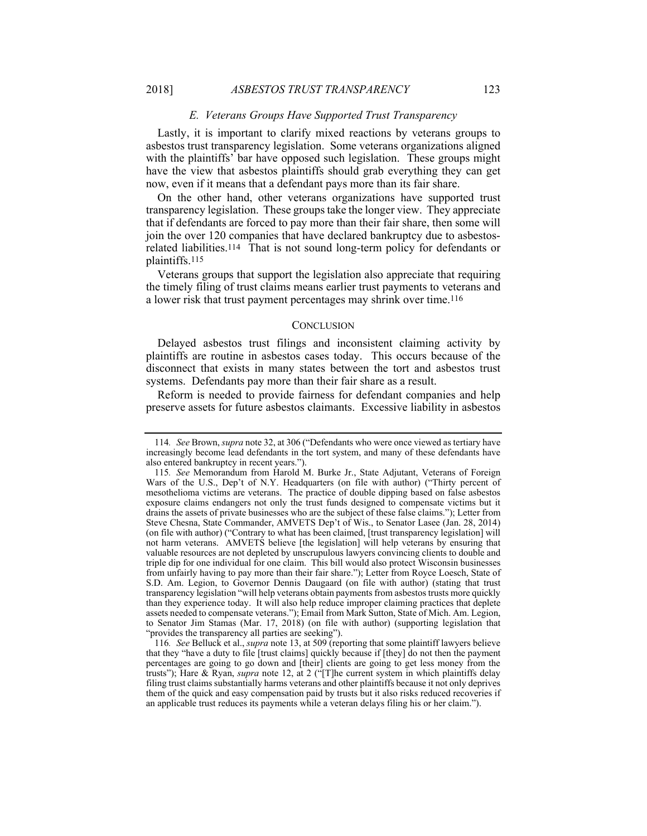#### *E. Veterans Groups Have Supported Trust Transparency*

Lastly, it is important to clarify mixed reactions by veterans groups to asbestos trust transparency legislation. Some veterans organizations aligned with the plaintiffs' bar have opposed such legislation. These groups might have the view that asbestos plaintiffs should grab everything they can get now, even if it means that a defendant pays more than its fair share.

On the other hand, other veterans organizations have supported trust transparency legislation. These groups take the longer view. They appreciate that if defendants are forced to pay more than their fair share, then some will join the over 120 companies that have declared bankruptcy due to asbestosrelated liabilities.114 That is not sound long-term policy for defendants or plaintiffs.115

Veterans groups that support the legislation also appreciate that requiring the timely filing of trust claims means earlier trust payments to veterans and a lower risk that trust payment percentages may shrink over time.116

#### **CONCLUSION**

Delayed asbestos trust filings and inconsistent claiming activity by plaintiffs are routine in asbestos cases today. This occurs because of the disconnect that exists in many states between the tort and asbestos trust systems. Defendants pay more than their fair share as a result.

Reform is needed to provide fairness for defendant companies and help preserve assets for future asbestos claimants. Excessive liability in asbestos

<sup>114</sup>*. See* Brown, *supra* note 32, at 306 ("Defendants who were once viewed as tertiary have increasingly become lead defendants in the tort system, and many of these defendants have also entered bankruptcy in recent years.").

<sup>115</sup>*. See* Memorandum from Harold M. Burke Jr., State Adjutant, Veterans of Foreign Wars of the U.S., Dep't of N.Y. Headquarters (on file with author) ("Thirty percent of mesothelioma victims are veterans. The practice of double dipping based on false asbestos exposure claims endangers not only the trust funds designed to compensate victims but it drains the assets of private businesses who are the subject of these false claims."); Letter from Steve Chesna, State Commander, AMVETS Dep't of Wis., to Senator Lasee (Jan. 28, 2014) (on file with author) ("Contrary to what has been claimed, [trust transparency legislation] will not harm veterans. AMVETS believe [the legislation] will help veterans by ensuring that valuable resources are not depleted by unscrupulous lawyers convincing clients to double and triple dip for one individual for one claim. This bill would also protect Wisconsin businesses from unfairly having to pay more than their fair share."); Letter from Royce Loesch, State of S.D. Am. Legion, to Governor Dennis Daugaard (on file with author) (stating that trust transparency legislation "will help veterans obtain payments from asbestos trusts more quickly than they experience today. It will also help reduce improper claiming practices that deplete assets needed to compensate veterans."); Email from Mark Sutton, State of Mich. Am. Legion, to Senator Jim Stamas (Mar. 17, 2018) (on file with author) (supporting legislation that "provides the transparency all parties are seeking").

<sup>116</sup>*. See* Belluck et al., *supra* note 13, at 509 (reporting that some plaintiff lawyers believe that they "have a duty to file [trust claims] quickly because if [they] do not then the payment percentages are going to go down and [their] clients are going to get less money from the trusts"); Hare & Ryan, *supra* note 12, at 2 ("[T]he current system in which plaintiffs delay filing trust claims substantially harms veterans and other plaintiffs because it not only deprives them of the quick and easy compensation paid by trusts but it also risks reduced recoveries if an applicable trust reduces its payments while a veteran delays filing his or her claim.").